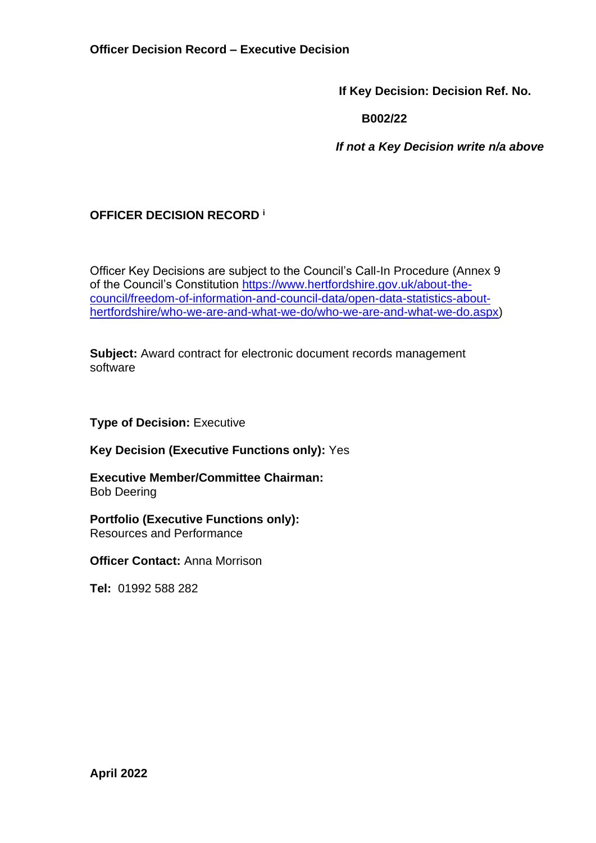**If Key Decision: Decision Ref. No.**

 **B002/22**

 *If not a Key Decision write n/a above*

## **OFFICER DECISION RECORD <sup>i</sup>**

Officer Key Decisions are subject to the Council's Call-In Procedure (Annex 9 of the Council's Constitution [https://www.hertfordshire.gov.uk/about-the](https://www.hertfordshire.gov.uk/about-the-council/freedom-of-information-and-council-data/open-data-statistics-about-hertfordshire/who-we-are-and-what-we-do/who-we-are-and-what-we-do.aspx)[council/freedom-of-information-and-council-data/open-data-statistics-about](https://www.hertfordshire.gov.uk/about-the-council/freedom-of-information-and-council-data/open-data-statistics-about-hertfordshire/who-we-are-and-what-we-do/who-we-are-and-what-we-do.aspx)[hertfordshire/who-we-are-and-what-we-do/who-we-are-and-what-we-do.aspx\)](https://www.hertfordshire.gov.uk/about-the-council/freedom-of-information-and-council-data/open-data-statistics-about-hertfordshire/who-we-are-and-what-we-do/who-we-are-and-what-we-do.aspx)

**Subject:** Award contract for electronic document records management software

**Type of Decision: Executive** 

**Key Decision (Executive Functions only):** Yes

**Executive Member/Committee Chairman:**  Bob Deering

**Portfolio (Executive Functions only):** Resources and Performance

**Officer Contact:** Anna Morrison

**Tel:** 01992 588 282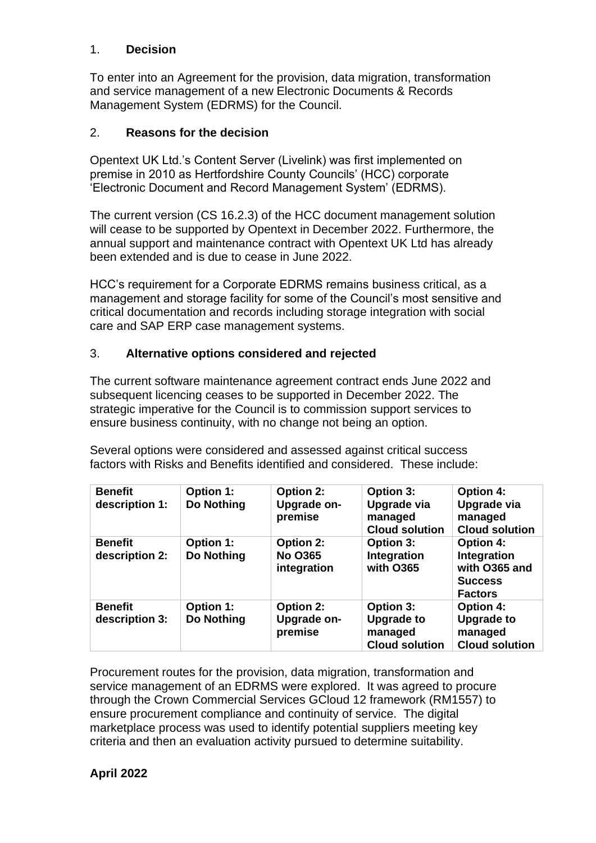#### 1. **Decision**

To enter into an Agreement for the provision, data migration, transformation and service management of a new Electronic Documents & Records Management System (EDRMS) for the Council.

#### 2. **Reasons for the decision**

Opentext UK Ltd.'s Content Server (Livelink) was first implemented on premise in 2010 as Hertfordshire County Councils' (HCC) corporate 'Electronic Document and Record Management System' (EDRMS).

The current version (CS 16.2.3) of the HCC document management solution will cease to be supported by Opentext in December 2022. Furthermore, the annual support and maintenance contract with Opentext UK Ltd has already been extended and is due to cease in June 2022.

HCC's requirement for a Corporate EDRMS remains business critical, as a management and storage facility for some of the Council's most sensitive and critical documentation and records including storage integration with social care and SAP ERP case management systems.

#### 3. **Alternative options considered and rejected**

The current software maintenance agreement contract ends June 2022 and subsequent licencing ceases to be supported in December 2022. The strategic imperative for the Council is to commission support services to ensure business continuity, with no change not being an option.

Several options were considered and assessed against critical success factors with Risks and Benefits identified and considered. These include:

| <b>Benefit</b><br>description 1: | <b>Option 1:</b><br>Do Nothing | <b>Option 2:</b><br>Upgrade on-<br>premise        | <b>Option 3:</b><br>Upgrade via<br>managed<br><b>Cloud solution</b> | <b>Option 4:</b><br>Upgrade via<br>managed<br><b>Cloud solution</b>                  |
|----------------------------------|--------------------------------|---------------------------------------------------|---------------------------------------------------------------------|--------------------------------------------------------------------------------------|
| <b>Benefit</b><br>description 2: | Option 1:<br>Do Nothing        | <b>Option 2:</b><br><b>No O365</b><br>integration | Option 3:<br>Integration<br>with O365                               | <b>Option 4:</b><br>Integration<br>with O365 and<br><b>Success</b><br><b>Factors</b> |
| <b>Benefit</b><br>description 3: | Option 1:<br>Do Nothing        | <b>Option 2:</b><br>Upgrade on-<br>premise        | Option 3:<br><b>Upgrade to</b><br>managed<br><b>Cloud solution</b>  | <b>Option 4:</b><br><b>Upgrade to</b><br>managed<br><b>Cloud solution</b>            |

Procurement routes for the provision, data migration, transformation and service management of an EDRMS were explored. It was agreed to procure through the Crown Commercial Services GCloud 12 framework (RM1557) to ensure procurement compliance and continuity of service. The digital marketplace process was used to identify potential suppliers meeting key criteria and then an evaluation activity pursued to determine suitability.

## **April 2022**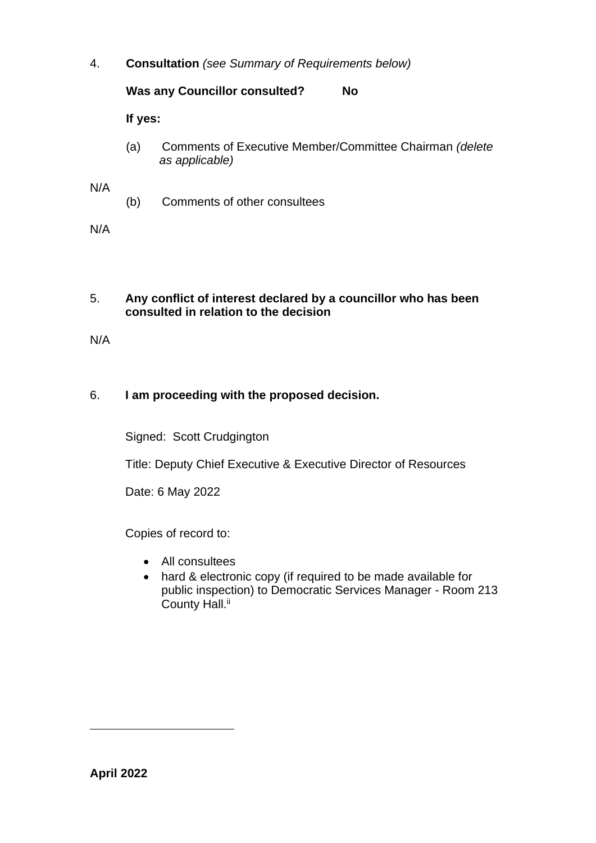4. **Consultation** *(see Summary of Requirements below)*

## **Was any Councillor consulted? No**

**If yes:**

(a) Comments of Executive Member/Committee Chairman *(delete as applicable)*

N/A

(b) Comments of other consultees

N/A

#### 5. **Any conflict of interest declared by a councillor who has been consulted in relation to the decision**

N/A

## 6. **I am proceeding with the proposed decision.**

Signed: Scott Crudgington

Title: Deputy Chief Executive & Executive Director of Resources

Date: 6 May 2022

Copies of record to:

- All consultees
- hard & electronic copy (if required to be made available for public inspection) to Democratic Services Manager - Room 213 County Hall.<sup>ii</sup>